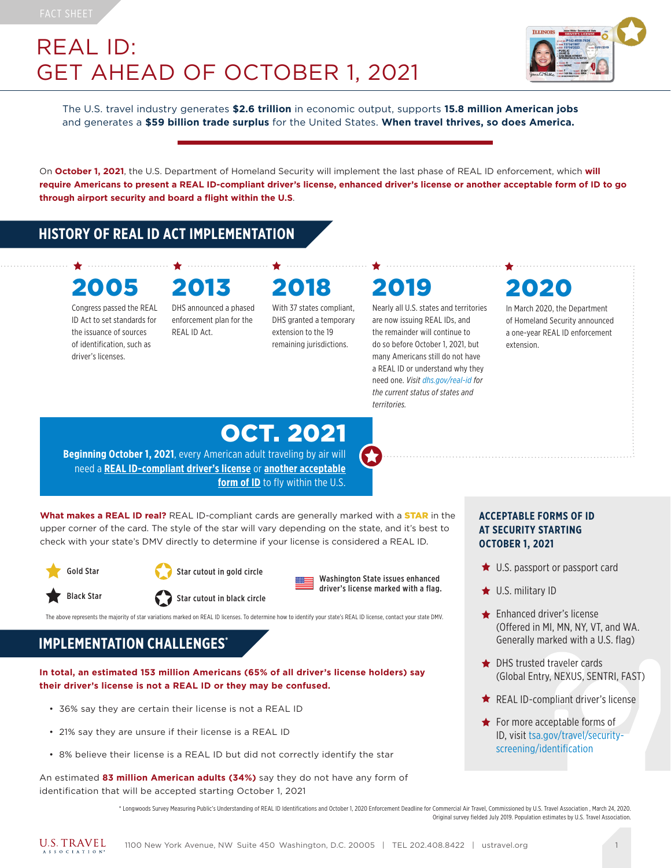## REAL ID: GET AHEAD OF OCTOBER 1, 2021



The U.S. travel industry generates **\$2.6 trillion** in economic output, supports **15.8 million American jobs** and generates a **\$59 billion trade surplus** for the United States. **When travel thrives, so does America.**

On **October 1, 2021**, the U.S. Department of Homeland Security will implement the last phase of REAL ID enforcement, which **will require Americans to present a REAL ID-compliant driver's license, enhanced driver's license or another acceptable form of ID to go through airport security and board a flight within the U.S**.

### **HISTORY OF REAL ID ACT IMPLEMENTATION**

# 2005 2013 2018 2019

Congress passed the REAL ID Act to set standards for the issuance of sources of identification, such as driver's licenses.

DHS announced a phased enforcement plan for the REAL ID Act.

# With 37 states compliant,

DHS granted a temporary extension to the 19 remaining jurisdictions.

Nearly all U.S. states and territories are now issuing REAL IDs, and the remainder will continue to do so before October 1, 2021, but many Americans still do not have a REAL ID or understand why they need one. *Visit dhs.gov/real-id for the current status of states and territories.*



In March 2020, the Department of Homeland Security announced a one-year REAL ID enforcement extension.

# OCT. 2021

**Beginning October 1, 2021**, every American adult traveling by air will need a **REAL ID-compliant driver's license** or **[another acceptable](https://www.tsa.gov/travel/security-screening/identification)  [form of ID](https://www.tsa.gov/travel/security-screening/identification)** to fly within the U.S.

What makes a REAL ID real? REAL ID-compliant cards are generally marked with a **STAR** in the upper corner of the card. The style of the star will vary depending on the state, and it's best to check with your state's DMV directly to determine if your license is considered a REAL ID.





Black Star Star Star Cutout in black circle

Washington State issues enhanced driver's license marked with a flag.

The above represents the majority of star variations marked on REAL ID licenses. To determine how to identify your state's REAL ID license, contact your state DMV.

### **IMPLEMENTATION CHALLENGES\***

**In total, an estimated 153 million Americans (65% of all driver's license holders) say their driver's license is not a REAL ID or they may be confused.** 

- 36% say they are certain their license is not a REAL ID
- 21% say they are unsure if their license is a REAL ID
- 8% believe their license is a REAL ID but did not correctly identify the star

An estimated **83 million American adults (34%)** say they do not have any form of identification that will be accepted starting October 1, 2021

#### **ACCEPTABLE FORMS OF ID AT SECURITY STARTING OCTOBER 1, 2021**

- **★** U.S. passport or passport card
- **★ U.S. military ID**
- **Enhanced driver's license** (Offered in MI, MN, NY, VT, and WA. Generally marked with a U.S. flag)
- **★ DHS trusted traveler cards** (Global Entry, NEXUS, SENTRI, FAST)
- **★** REAL ID-compliant driver's license
- For more acceptable forms of ID, visit tsa.gov/travel/securityscreening/identification

\* Longwoods Survey Measuring Public's Understanding of REAL ID Identifications and October 1, 2020 Enforcement Deadline for Commercial Air Travel, Commissioned by U.S. Travel Association , March 24, 2020. Original survey fielded July 2019. Population estimates by U.S. Travel Association.